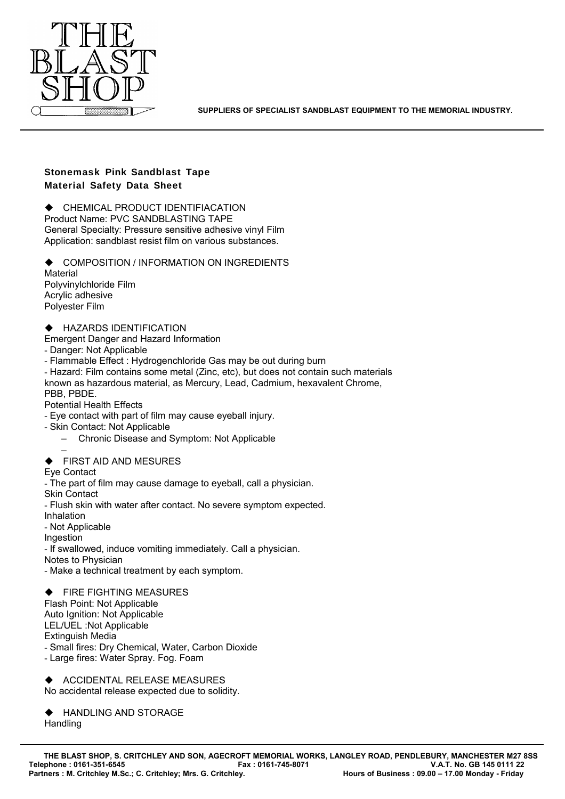

**SUPPLIERS OF SPECIALIST SANDBLAST EQUIPMENT TO THE MEMORIAL INDUSTRY.**

# **Stonemask Pink Sandblast Tape Material Safety Data Sheet**

 $\triangle$  CHEMICAL PRODUCT IDENTIFIACATION

Product Name: PVC SANDBLASTING TAPE General Specialty: Pressure sensitive adhesive vinyl Film Application: sandblast resist film on various substances.

 $\blacklozenge$  COMPOSITION / INFORMATION ON INGREDIENTS Material Polyvinylchloride Film Acrylic adhesive Polyester Film

HAZARDS IDENTIFICATION

Emergent Danger and Hazard Information

- Danger: Not Applicable

- Flammable Effect : Hydrogenchloride Gas may be out during burn

- Hazard: Film contains some metal (Zinc, etc), but does not contain such materials known as hazardous material, as Mercury, Lead, Cadmium, hexavalent Chrome, PBB, PBDE.

Potential Health Effects

- Eye contact with part of film may cause eyeball injury.

- Skin Contact: Not Applicable

– Chronic Disease and Symptom: Not Applicable

– FIRST AID AND MESURES

Eye Contact

- The part of film may cause damage to eyeball, call a physician.

Skin Contact

- Flush skin with water after contact. No severe symptom expected.

Inhalation

- Not Applicable

Ingestion

- If swallowed, induce vomiting immediately. Call a physician.

Notes to Physician

- Make a technical treatment by each symptom.

 FIRE FIGHTING MEASURES Flash Point: Not Applicable Auto Ignition: Not Applicable LEL/UEL :Not Applicable Extinguish Media - Small fires: Dry Chemical, Water, Carbon Dioxide - Large fires: Water Spray. Fog. Foam

 $\blacklozenge$  ACCIDENTAL RELEASE MEASURES No accidental release expected due to solidity.

◆ HANDLING AND STORAGE **Handling**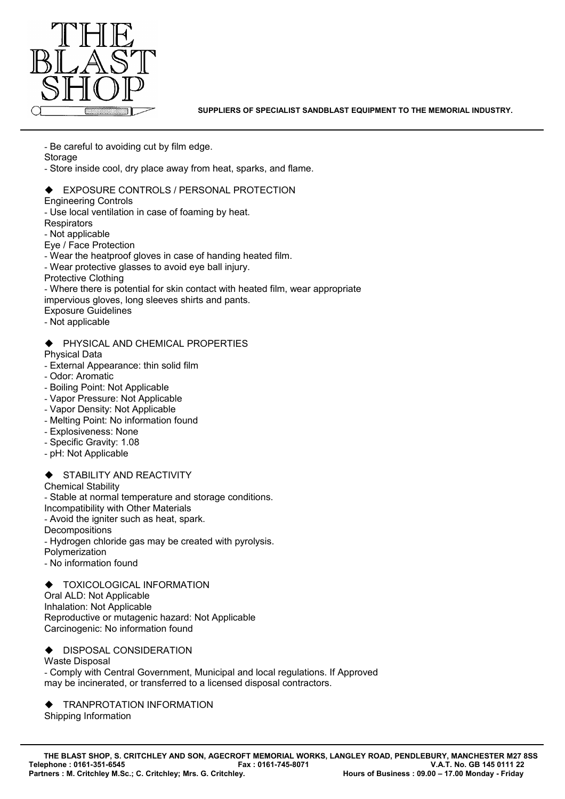

**SUPPLIERS OF SPECIALIST SANDBLAST EQUIPMENT TO THE MEMORIAL INDUSTRY.**

- Be careful to avoiding cut by film edge.

**Storage** 

- Store inside cool, dry place away from heat, sparks, and flame.

## EXPOSURE CONTROLS / PERSONAL PROTECTION

Engineering Controls

- Use local ventilation in case of foaming by heat.

**Respirators** 

- Not applicable

Eye / Face Protection

- Wear the heatproof gloves in case of handing heated film.
- Wear protective glasses to avoid eye ball injury.

Protective Clothing

- Where there is potential for skin contact with heated film, wear appropriate

impervious gloves, long sleeves shirts and pants.

Exposure Guidelines

- Not applicable

#### PHYSICAL AND CHEMICAL PROPERTIES

Physical Data

- External Appearance: thin solid film
- Odor: Aromatic
- Boiling Point: Not Applicable
- Vapor Pressure: Not Applicable
- Vapor Density: Not Applicable
- Melting Point: No information found
- Explosiveness: None
- Specific Gravity: 1.08
- pH: Not Applicable

### STABILITY AND REACTIVITY

Chemical Stability

- Stable at normal temperature and storage conditions.

Incompatibility with Other Materials

- Avoid the igniter such as heat, spark.

**Decompositions** 

- Hydrogen chloride gas may be created with pyrolysis.

Polymerization

- No information found

 TOXICOLOGICAL INFORMATION Oral ALD: Not Applicable Inhalation: Not Applicable Reproductive or mutagenic hazard: Not Applicable Carcinogenic: No information found

 $\blacklozenge$  DISPOSAL CONSIDERATION

Waste Disposal

- Comply with Central Government, Municipal and local regulations. If Approved may be incinerated, or transferred to a licensed disposal contractors.

 TRANPROTATION INFORMATION Shipping Information